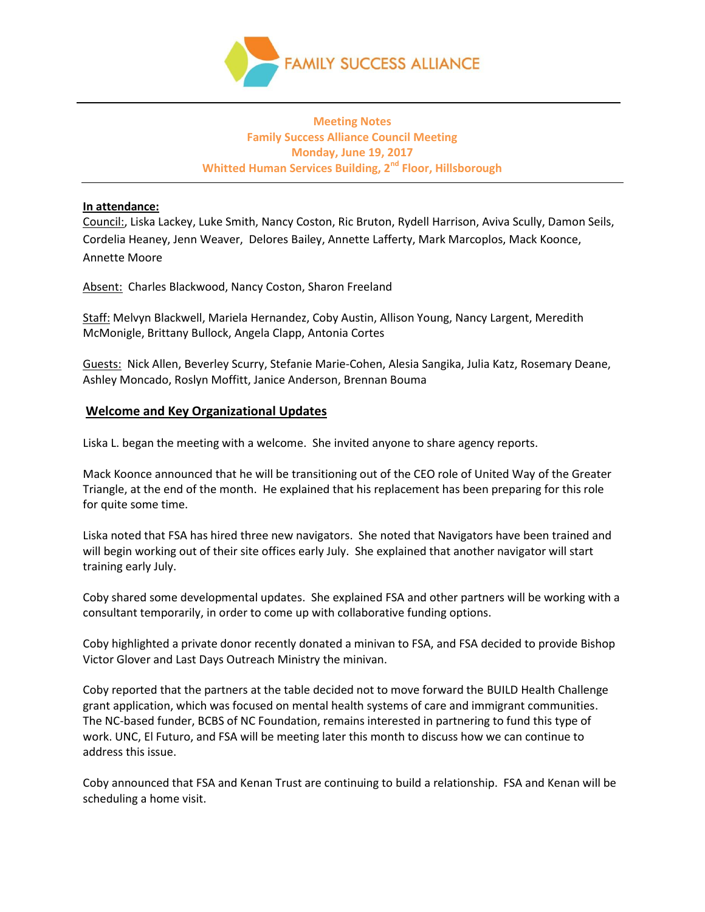

## **Meeting Notes Family Success Alliance Council Meeting Monday, June 19, 2017 Whitted Human Services Building, 2nd Floor, Hillsborough**

### **In attendance:**

Council:, Liska Lackey, Luke Smith, Nancy Coston, Ric Bruton, Rydell Harrison, Aviva Scully, Damon Seils, Cordelia Heaney, Jenn Weaver, Delores Bailey, Annette Lafferty, Mark Marcoplos, Mack Koonce, Annette Moore

Absent: Charles Blackwood, Nancy Coston, Sharon Freeland

Staff: Melvyn Blackwell, Mariela Hernandez, Coby Austin, Allison Young, Nancy Largent, Meredith McMonigle, Brittany Bullock, Angela Clapp, Antonia Cortes

Guests: Nick Allen, Beverley Scurry, Stefanie Marie-Cohen, Alesia Sangika, Julia Katz, Rosemary Deane, Ashley Moncado, Roslyn Moffitt, Janice Anderson, Brennan Bouma

### **Welcome and Key Organizational Updates**

Liska L. began the meeting with a welcome. She invited anyone to share agency reports.

Mack Koonce announced that he will be transitioning out of the CEO role of United Way of the Greater Triangle, at the end of the month. He explained that his replacement has been preparing for this role for quite some time.

Liska noted that FSA has hired three new navigators. She noted that Navigators have been trained and will begin working out of their site offices early July. She explained that another navigator will start training early July.

Coby shared some developmental updates. She explained FSA and other partners will be working with a consultant temporarily, in order to come up with collaborative funding options.

Coby highlighted a private donor recently donated a minivan to FSA, and FSA decided to provide Bishop Victor Glover and Last Days Outreach Ministry the minivan.

Coby reported that the partners at the table decided not to move forward the BUILD Health Challenge grant application, which was focused on mental health systems of care and immigrant communities. The NC-based funder, BCBS of NC Foundation, remains interested in partnering to fund this type of work. UNC, El Futuro, and FSA will be meeting later this month to discuss how we can continue to address this issue.

Coby announced that FSA and Kenan Trust are continuing to build a relationship. FSA and Kenan will be scheduling a home visit.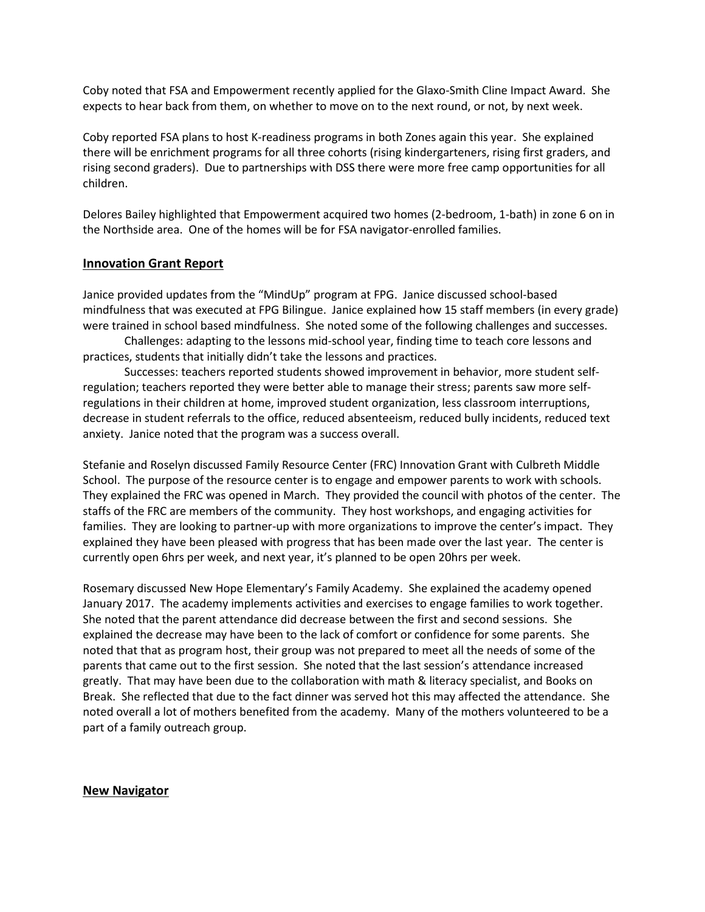Coby noted that FSA and Empowerment recently applied for the Glaxo-Smith Cline Impact Award. She expects to hear back from them, on whether to move on to the next round, or not, by next week.

Coby reported FSA plans to host K-readiness programs in both Zones again this year. She explained there will be enrichment programs for all three cohorts (rising kindergarteners, rising first graders, and rising second graders). Due to partnerships with DSS there were more free camp opportunities for all children.

Delores Bailey highlighted that Empowerment acquired two homes (2-bedroom, 1-bath) in zone 6 on in the Northside area. One of the homes will be for FSA navigator-enrolled families.

### **Innovation Grant Report**

Janice provided updates from the "MindUp" program at FPG. Janice discussed school-based mindfulness that was executed at FPG Bilingue. Janice explained how 15 staff members (in every grade) were trained in school based mindfulness. She noted some of the following challenges and successes.

Challenges: adapting to the lessons mid-school year, finding time to teach core lessons and practices, students that initially didn't take the lessons and practices.

Successes: teachers reported students showed improvement in behavior, more student selfregulation; teachers reported they were better able to manage their stress; parents saw more selfregulations in their children at home, improved student organization, less classroom interruptions, decrease in student referrals to the office, reduced absenteeism, reduced bully incidents, reduced text anxiety. Janice noted that the program was a success overall.

Stefanie and Roselyn discussed Family Resource Center (FRC) Innovation Grant with Culbreth Middle School. The purpose of the resource center is to engage and empower parents to work with schools. They explained the FRC was opened in March. They provided the council with photos of the center. The staffs of the FRC are members of the community. They host workshops, and engaging activities for families. They are looking to partner-up with more organizations to improve the center's impact. They explained they have been pleased with progress that has been made over the last year. The center is currently open 6hrs per week, and next year, it's planned to be open 20hrs per week.

Rosemary discussed New Hope Elementary's Family Academy. She explained the academy opened January 2017. The academy implements activities and exercises to engage families to work together. She noted that the parent attendance did decrease between the first and second sessions. She explained the decrease may have been to the lack of comfort or confidence for some parents. She noted that that as program host, their group was not prepared to meet all the needs of some of the parents that came out to the first session. She noted that the last session's attendance increased greatly. That may have been due to the collaboration with math & literacy specialist, and Books on Break. She reflected that due to the fact dinner was served hot this may affected the attendance. She noted overall a lot of mothers benefited from the academy. Many of the mothers volunteered to be a part of a family outreach group.

#### **New Navigator**